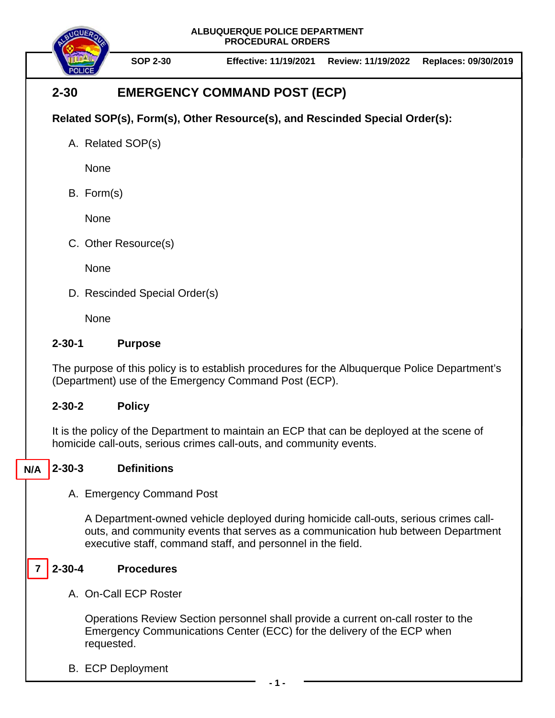**ALBUQUERQUE POLICE DEPARTMENT PROCEDURAL ORDERS**



**SOP 2-30 Effective: 11/19/2021 Review: 11/19/2022 Replaces: 09/30/2019**

# **2-30 EMERGENCY COMMAND POST (ECP)**

## **Related SOP(s), Form(s), Other Resource(s), and Rescinded Special Order(s):**

A. Related SOP(s)

None

B. Form(s)

None

C. Other Resource(s)

**None** 

D. Rescinded Special Order(s)

None

### **2-30-1 Purpose**

The purpose of this policy is to establish procedures for the Albuquerque Police Department's (Department) use of the Emergency Command Post (ECP).

### **2-30-2 Policy**

It is the policy of the Department to maintain an ECP that can be deployed at the scene of homicide call-outs, serious crimes call-outs, and community events.

#### **2-30-3 Definitions N/A**

A. Emergency Command Post

A Department-owned vehicle deployed during homicide call-outs, serious crimes callouts, and community events that serves as a communication hub between Department executive staff, command staff, and personnel in the field.

#### **2-30-4 Procedures 7**

A. On-Call ECP Roster

Operations Review Section personnel shall provide a current on-call roster to the Emergency Communications Center (ECC) for the delivery of the ECP when requested.

B. ECP Deployment